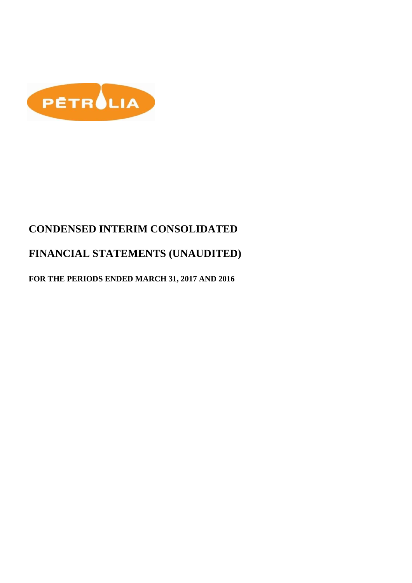

# **CONDENSED INTERIM CONSOLIDATED**

# **FINANCIAL STATEMENTS (UNAUDITED)**

## **FOR THE PERIODS ENDED MARCH 31, 2017 AND 2016**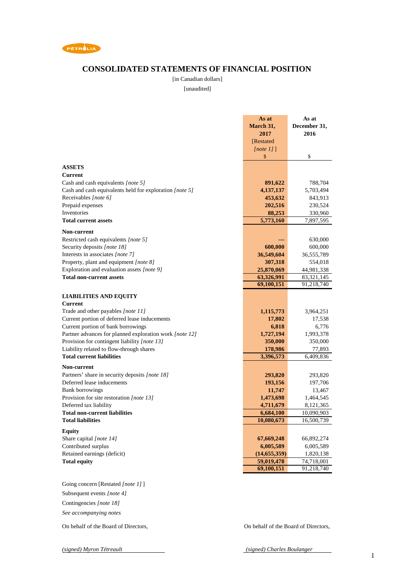

### **CONSOLIDATED STATEMENTS OF FINANCIAL POSITION**

[in Canadian dollars]

[unaudited]

|                                                                                               | As at              | As at              |
|-----------------------------------------------------------------------------------------------|--------------------|--------------------|
|                                                                                               | March 31,          | December 31,       |
|                                                                                               | 2017               | 2016               |
|                                                                                               | [Restated]         |                    |
|                                                                                               | [note $1$ ]]       |                    |
|                                                                                               | \$                 | \$                 |
| <b>ASSETS</b>                                                                                 |                    |                    |
| Current                                                                                       |                    |                    |
|                                                                                               |                    |                    |
| Cash and cash equivalents [note 5]<br>Cash and cash equivalents held for exploration [note 5] | 891,622            | 788,704            |
| Receivables [note 6]                                                                          | 4,137,137          | 5,703,494          |
| Prepaid expenses                                                                              | 453,632<br>202,516 | 843,913<br>230,524 |
| Inventories                                                                                   | 88,253             | 330,960            |
| <b>Total current assets</b>                                                                   | 5,773,160          | 7,897,595          |
|                                                                                               |                    |                    |
| <b>Non-current</b>                                                                            |                    |                    |
| Restricted cash equivalents [note 5]                                                          |                    | 630,000            |
| Security deposits [note 18]                                                                   | 600,000            | 600,000            |
| Interests in associates [note 7]                                                              | 36,549,604         | 36,555,789         |
| Property, plant and equipment [note 8]                                                        | 307,318            | 554,018            |
| Exploration and evaluation assets [note 9]                                                    | 25,870,069         | 44,981,338         |
| <b>Total non-current assets</b>                                                               | 63,326,991         | 83, 321, 145       |
|                                                                                               | 69,100,151         | 91,218,740         |
| <b>LIABILITIES AND EQUITY</b>                                                                 |                    |                    |
| <b>Current</b>                                                                                |                    |                    |
| Trade and other payables [note 11]                                                            | 1,115,773          | 3,964,251          |
| Current portion of deferred lease inducements                                                 | 17,802             | 17,538             |
| Current portion of bank borrowings                                                            | 6,818              | 6,776              |
| Partner advances for planned exploration work [note 12]                                       | 1,727,194          | 1,993,378          |
| Provision for contingent liability [note 13]                                                  | 350,000            | 350,000            |
| Liability related to flow-through shares                                                      | 178,986            | 77,893             |
| <b>Total current liabilities</b>                                                              | 3,396,573          | 6,409,836          |
| Non-current                                                                                   |                    |                    |
| Partners' share in security deposits [note 18]                                                | 293,820            | 293,820            |
| Deferred lease inducements                                                                    | 193,156            | 197,706            |
| <b>Bank borrowings</b>                                                                        | 11,747             | 13,467             |
| Provision for site restoration [note 13]                                                      | 1,473,698          | 1,464,545          |
| Deferred tax liability                                                                        | 4,711,679          | 8,121,365          |
| <b>Total non-current liabilities</b>                                                          | 6,684,100          | 10,090,903         |
| <b>Total liabilities</b>                                                                      | 10,080,673         | 16,500,739         |
| <b>Equity</b>                                                                                 |                    |                    |
| Share capital [note 14]                                                                       | 67,669,248         | 66,892,274         |
| Contributed surplus                                                                           | 6,005,589          | 6,005,589          |
| Retained earnings (deficit)                                                                   | (14, 655, 359)     | 1,820,138          |
| <b>Total equity</b>                                                                           | 59,019,478         | 74,718,001         |
|                                                                                               | 69,100,151         | 91,218,740         |
|                                                                                               |                    |                    |
| Going concern [Restated [note 1]]                                                             |                    |                    |
| Subsequent events [note 4]                                                                    |                    |                    |
|                                                                                               |                    |                    |
| Contingencies [note 18]                                                                       |                    |                    |

*See accompanying notes*

On behalf of the Board of Directors, On behalf of the Board of Directors,

*(signed) Myron Tétreault (signed) Charles Boulanger*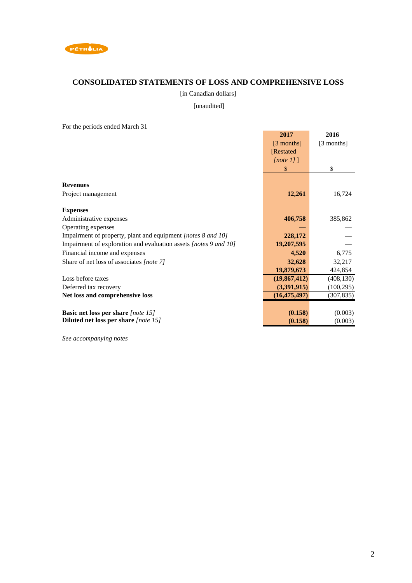

## **CONSOLIDATED STATEMENTS OF LOSS AND COMPREHENSIVE LOSS**

[in Canadian dollars]

[unaudited]

For the periods ended March 31

| I of the periods ended material                                  |                |            |
|------------------------------------------------------------------|----------------|------------|
|                                                                  | 2017           | 2016       |
|                                                                  | $[3$ months]   | [3 months] |
|                                                                  | [Restated]     |            |
|                                                                  |                |            |
|                                                                  | [note 1]       |            |
|                                                                  | \$             | \$         |
|                                                                  |                |            |
| <b>Revenues</b>                                                  |                |            |
| Project management                                               | 12,261         | 16,724     |
|                                                                  |                |            |
| <b>Expenses</b>                                                  |                |            |
| Administrative expenses                                          | 406,758        | 385,862    |
| Operating expenses                                               |                |            |
| Impairment of property, plant and equipment [notes 8 and 10]     | 228,172        |            |
| Impairment of exploration and evaluation assets [notes 9 and 10] | 19,207,595     |            |
| Financial income and expenses                                    | 4,520          | 6,775      |
| Share of net loss of associates [note 7]                         | 32,628         | 32,217     |
|                                                                  | 19,879,673     | 424,854    |
| Loss before taxes                                                | (19,867,412)   | (408, 130) |
| Deferred tax recovery                                            | (3,391,915)    | (100, 295) |
| Net loss and comprehensive loss                                  | (16, 475, 497) | (307, 835) |
|                                                                  |                |            |
| <b>Basic net loss per share</b> [note 15]                        | (0.158)        | (0.003)    |
| Diluted net loss per share [note 15]                             | (0.158)        | (0.003)    |

*See accompanying notes*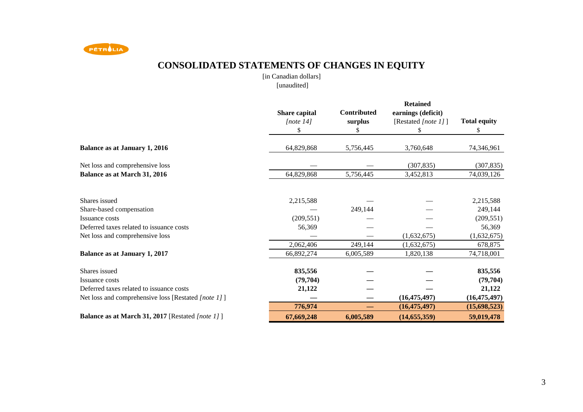

# **CONSOLIDATED STATEMENTS OF CHANGES IN EQUITY**

[in Canadian dollars][unaudited]

|                                                                 | Share capital<br>[note $14$ ]<br>\$ | <b>Contributed</b><br>surplus<br>\$ | <b>Retained</b><br>earnings (deficit)<br>[Restated [note 1]]<br>\$ | <b>Total equity</b><br>\$ |
|-----------------------------------------------------------------|-------------------------------------|-------------------------------------|--------------------------------------------------------------------|---------------------------|
| <b>Balance as at January 1, 2016</b>                            | 64,829,868                          | 5,756,445                           | 3,760,648                                                          | 74,346,961                |
| Net loss and comprehensive loss<br>Balance as at March 31, 2016 | 64,829,868                          | 5,756,445                           | (307, 835)<br>3,452,813                                            | (307, 835)<br>74,039,126  |
|                                                                 |                                     |                                     |                                                                    |                           |
| Shares issued                                                   | 2,215,588                           |                                     |                                                                    | 2,215,588                 |
| Share-based compensation                                        |                                     | 249,144                             |                                                                    | 249,144                   |
| Issuance costs                                                  | (209, 551)                          |                                     |                                                                    | (209, 551)                |
| Deferred taxes related to issuance costs                        | 56,369                              |                                     |                                                                    | 56,369                    |
| Net loss and comprehensive loss                                 |                                     |                                     | (1,632,675)                                                        | (1,632,675)               |
|                                                                 | 2,062,406                           | 249.144                             | (1,632,675)                                                        | 678,875                   |
| <b>Balance as at January 1, 2017</b>                            | 66,892,274                          | 6,005,589                           | 1,820,138                                                          | 74,718,001                |
| Shares issued                                                   | 835,556                             |                                     |                                                                    | 835,556                   |
| Issuance costs                                                  | (79, 704)                           |                                     |                                                                    | (79, 704)                 |
| Deferred taxes related to issuance costs                        | 21,122                              |                                     |                                                                    | 21,122                    |
| Net loss and comprehensive loss [Restated [note 1]]             |                                     |                                     | (16, 475, 497)                                                     | (16, 475, 497)            |
|                                                                 | 776,974                             |                                     | (16, 475, 497)                                                     | (15,698,523)              |
| <b>Balance as at March 31, 2017</b> [Restated <i>[note 1]</i> ] | 67,669,248                          | 6,005,589                           | (14, 655, 359)                                                     | 59,019,478                |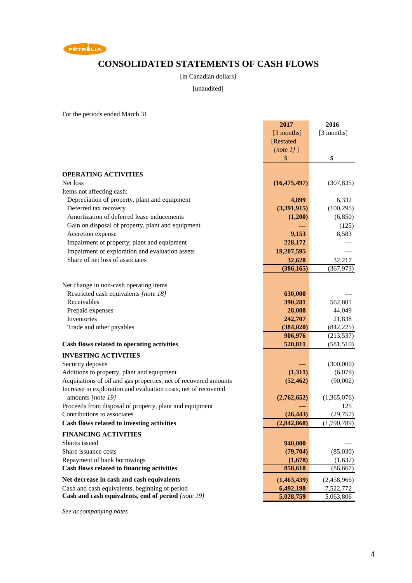

## **CONSOLIDATED STATEMENTS OF CASH FLOWS**

[in Canadian dollars]

[unaudited]

For the periods ended March 31

|                                                                        | 2017           | 2016        |
|------------------------------------------------------------------------|----------------|-------------|
|                                                                        | [3 months]     | [3 months]  |
|                                                                        | [Restated      |             |
|                                                                        | [note 1]       |             |
|                                                                        | \$             | \$          |
|                                                                        |                |             |
| <b>OPERATING ACTIVITIES</b>                                            |                |             |
| Net loss                                                               | (16, 475, 497) | (307, 835)  |
| Items not affecting cash:                                              |                |             |
| Depreciation of property, plant and equipment<br>Deferred tax recovery | 4,899          | 6,332       |
| Amortization of deferred lease inducements                             | (3,391,915)    | (100, 295)  |
|                                                                        | (1,200)        | (6, 850)    |
| Gain on disposal of property, plant and equipment                      |                | (125)       |
| Accretion expense                                                      | 9,153          | 8,583       |
| Impairment of property, plant and equipment                            | 228,172        |             |
| Impairment of exploration and evaluation assets                        | 19,207,595     |             |
| Share of net loss of associates                                        | 32,628         | 32,217      |
|                                                                        | (386, 165)     | (367, 973)  |
| Net change in non-cash operating items                                 |                |             |
| Restricted cash equivalents [note 18]                                  | 630,000        |             |
| Receivables                                                            | 390,281        | 562,801     |
| Prepaid expenses                                                       | 28,008         | 44,049      |
| Inventories                                                            | 242,707        | 21,838      |
| Trade and other payables                                               | (384, 020)     | (842, 225)  |
|                                                                        | 906,976        | (213, 537)  |
| Cash flows related to operating activities                             | 520,811        | (581, 510)  |
| <b>INVESTING ACTIVITIES</b>                                            |                |             |
| Security deposits                                                      |                | (300,000)   |
| Additions to property, plant and equipment                             | (1,311)        | (6,079)     |
| Acquisitions of oil and gas properties, net of recovered amounts       | (52, 462)      | (90,002)    |
| Increase in exploration and evaluation costs, net of recovered         |                |             |
| amounts [note 19]                                                      | (2,762,652)    | (1,365,076) |
| Proceeds from disposal of property, plant and equipment                |                | 125         |
| Contributions to associates                                            | (26, 443)      | (29, 757)   |
| Cash flows related to investing activities                             | (2,842,868)    | (1,790,789) |
| <b>FINANCING ACTIVITIES</b>                                            |                |             |
| Shares issued                                                          | 940,000        |             |
| Share issuance costs                                                   | (79, 704)      | (85,030)    |
| Repayment of bank borrowings                                           | (1,678)        | (1,637)     |
| Cash flows related to financing activities                             | 858,618        | (86, 667)   |
| Net decrease in cash and cash equivalents                              | (1,463,439)    | (2,458,966) |
| Cash and cash equivalents, beginning of period                         | 6,492,198      | 7,522,772   |
| Cash and cash equivalents, end of period [note 19]                     | 5,028,759      | 5,063,806   |

*See accompanying notes*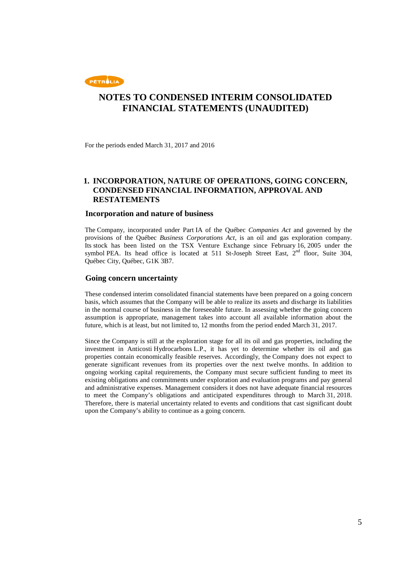

For the periods ended March 31, 2017 and 2016

### **1. INCORPORATION, NATURE OF OPERATIONS, GOING CONCERN, CONDENSED FINANCIAL INFORMATION, APPROVAL AND RESTATEMENTS**

#### **Incorporation and nature of business**

The Company, incorporated under Part IA of the Québec *Companies Act* and governed by the provisions of the Québec *Business Corporations Act*, is an oil and gas exploration company. Its stock has been listed on the TSX Venture Exchange since February 16, 2005 under the symbol PEA. Its head office is located at 511 St-Joseph Street East,  $2<sup>nd</sup>$  floor, Suite 304, Québec City, Québec, G1K 3B7.

#### **Going concern uncertainty**

These condensed interim consolidated financial statements have been prepared on a going concern basis, which assumes that the Company will be able to realize its assets and discharge its liabilities in the normal course of business in the foreseeable future. In assessing whether the going concern assumption is appropriate, management takes into account all available information about the future, which is at least, but not limited to, 12 months from the period ended March 31, 2017.

Since the Company is still at the exploration stage for all its oil and gas properties, including the investment in Anticosti Hydrocarbons L.P., it has yet to determine whether its oil and gas properties contain economically feasible reserves. Accordingly, the Company does not expect to generate significant revenues from its properties over the next twelve months. In addition to ongoing working capital requirements, the Company must secure sufficient funding to meet its existing obligations and commitments under exploration and evaluation programs and pay general and administrative expenses. Management considers it does not have adequate financial resources to meet the Company's obligations and anticipated expenditures through to March 31, 2018. Therefore, there is material uncertainty related to events and conditions that cast significant doubt upon the Company's ability to continue as a going concern.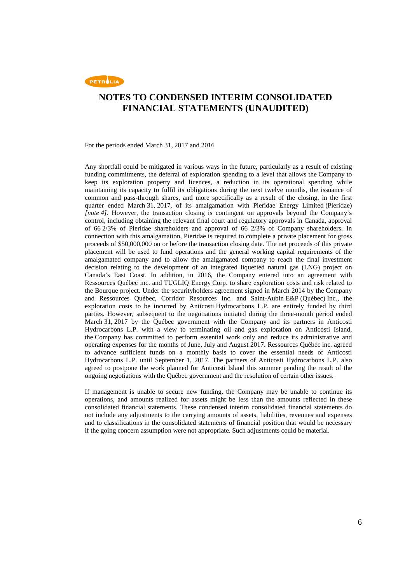

For the periods ended March 31, 2017 and 2016

Any shortfall could be mitigated in various ways in the future, particularly as a result of existing funding commitments, the deferral of exploration spending to a level that allows the Company to keep its exploration property and licences, a reduction in its operational spending while maintaining its capacity to fulfil its obligations during the next twelve months, the issuance of common and pass-through shares, and more specifically as a result of the closing, in the first quarter ended March 31, 2017, of its amalgamation with Pieridae Energy Limited (Pieridae) *[note 4]*. However, the transaction closing is contingent on approvals beyond the Company's control, including obtaining the relevant final court and regulatory approvals in Canada, approval of 66 2/3% of Pieridae shareholders and approval of 66 2/3% of Company shareholders. In connection with this amalgamation, Pieridae is required to complete a private placement for gross proceeds of \$50,000,000 on or before the transaction closing date. The net proceeds of this private placement will be used to fund operations and the general working capital requirements of the amalgamated company and to allow the amalgamated company to reach the final investment decision relating to the development of an integrated liquefied natural gas (LNG) project on Canada's East Coast. In addition, in 2016, the Company entered into an agreement with Ressources Québec inc. and TUGLIQ Energy Corp. to share exploration costs and risk related to the Bourque project. Under the securityholders agreement signed in March 2014 by the Company and Ressources Québec, Corridor Resources Inc. and Saint-Aubin E&P (Québec) Inc., the exploration costs to be incurred by Anticosti Hydrocarbons L.P. are entirely funded by third parties. However, subsequent to the negotiations initiated during the three-month period ended March 31, 2017 by the Québec government with the Company and its partners in Anticosti Hydrocarbons L.P. with a view to terminating oil and gas exploration on Anticosti Island, the Company has committed to perform essential work only and reduce its administrative and operating expenses for the months of June, July and August 2017. Ressources Québec inc. agreed to advance sufficient funds on a monthly basis to cover the essential needs of Anticosti Hydrocarbons L.P. until September 1, 2017. The partners of Anticosti Hydrocarbons L.P. also agreed to postpone the work planned for Anticosti Island this summer pending the result of the ongoing negotiations with the Québec government and the resolution of certain other issues.

If management is unable to secure new funding, the Company may be unable to continue its operations, and amounts realized for assets might be less than the amounts reflected in these consolidated financial statements. These condensed interim consolidated financial statements do not include any adjustments to the carrying amounts of assets, liabilities, revenues and expenses and to classifications in the consolidated statements of financial position that would be necessary if the going concern assumption were not appropriate. Such adjustments could be material.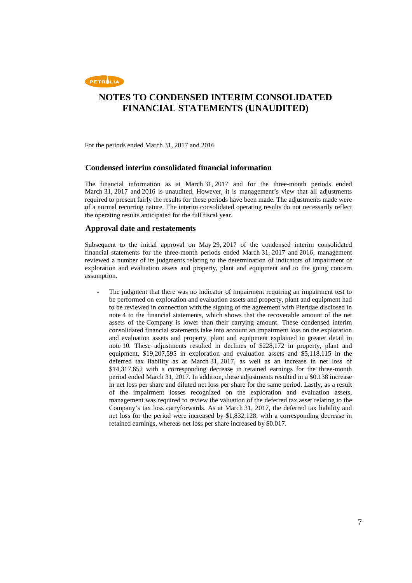

For the periods ended March 31, 2017 and 2016

### **Condensed interim consolidated financial information**

The financial information as at March 31, 2017 and for the three-month periods ended March 31, 2017 and 2016 is unaudited. However, it is management's view that all adjustments required to present fairly the results for these periods have been made. The adjustments made were of a normal recurring nature. The interim consolidated operating results do not necessarily reflect the operating results anticipated for the full fiscal year.

### **Approval date and restatements**

Subsequent to the initial approval on May 29, 2017 of the condensed interim consolidated financial statements for the three-month periods ended March 31, 2017 and 2016, management reviewed a number of its judgments relating to the determination of indicators of impairment of exploration and evaluation assets and property, plant and equipment and to the going concern assumption.

The judgment that there was no indicator of impairment requiring an impairment test to be performed on exploration and evaluation assets and property, plant and equipment had to be reviewed in connection with the signing of the agreement with Pieridae disclosed in note 4 to the financial statements, which shows that the recoverable amount of the net assets of the Company is lower than their carrying amount. These condensed interim consolidated financial statements take into account an impairment loss on the exploration and evaluation assets and property, plant and equipment explained in greater detail in note 10. These adjustments resulted in declines of \$228,172 in property, plant and equipment, \$19,207,595 in exploration and evaluation assets and \$5,118,115 in the deferred tax liability as at March 31, 2017, as well as an increase in net loss of \$14,317,652 with a corresponding decrease in retained earnings for the three-month period ended March 31, 2017. In addition, these adjustments resulted in a \$0.138 increase in net loss per share and diluted net loss per share for the same period. Lastly, as a result of the impairment losses recognized on the exploration and evaluation assets, management was required to review the valuation of the deferred tax asset relating to the Company's tax loss carryforwards. As at March 31, 2017, the deferred tax liability and net loss for the period were increased by \$1,832,128, with a corresponding decrease in retained earnings, whereas net loss per share increased by \$0.017.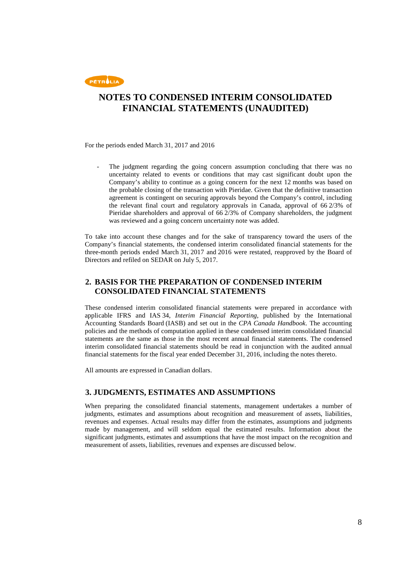

For the periods ended March 31, 2017 and 2016

The judgment regarding the going concern assumption concluding that there was no uncertainty related to events or conditions that may cast significant doubt upon the Company's ability to continue as a going concern for the next 12 months was based on the probable closing of the transaction with Pieridae. Given that the definitive transaction agreement is contingent on securing approvals beyond the Company's control, including the relevant final court and regulatory approvals in Canada, approval of 66 2/3% of Pieridae shareholders and approval of 66 2/3% of Company shareholders, the judgment was reviewed and a going concern uncertainty note was added.

To take into account these changes and for the sake of transparency toward the users of the Company's financial statements, the condensed interim consolidated financial statements for the three-month periods ended March 31, 2017 and 2016 were restated, reapproved by the Board of Directors and refiled on SEDAR on July 5, 2017.

### **2. BASIS FOR THE PREPARATION OF CONDENSED INTERIM CONSOLIDATED FINANCIAL STATEMENTS**

These condensed interim consolidated financial statements were prepared in accordance with applicable IFRS and IAS 34, *Interim Financial Reporting*, published by the International Accounting Standards Board (IASB) and set out in the *CPA Canada Handbook*. The accounting policies and the methods of computation applied in these condensed interim consolidated financial statements are the same as those in the most recent annual financial statements. The condensed interim consolidated financial statements should be read in conjunction with the audited annual financial statements for the fiscal year ended December 31, 2016, including the notes thereto.

All amounts are expressed in Canadian dollars.

### **3. JUDGMENTS, ESTIMATES AND ASSUMPTIONS**

When preparing the consolidated financial statements, management undertakes a number of judgments, estimates and assumptions about recognition and measurement of assets, liabilities, revenues and expenses. Actual results may differ from the estimates, assumptions and judgments made by management, and will seldom equal the estimated results. Information about the significant judgments, estimates and assumptions that have the most impact on the recognition and measurement of assets, liabilities, revenues and expenses are discussed below.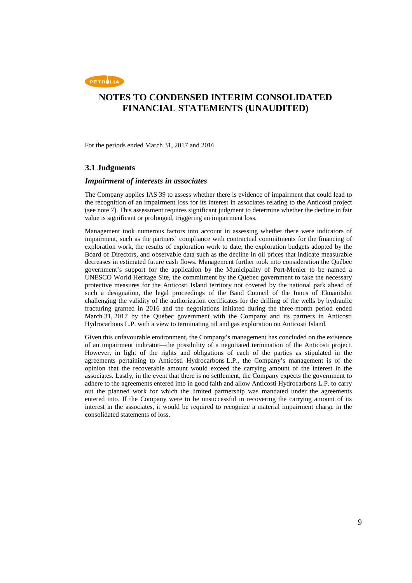

For the periods ended March 31, 2017 and 2016

### **3.1 Judgments**

#### *Impairment of interests in associates*

The Company applies IAS 39 to assess whether there is evidence of impairment that could lead to the recognition of an impairment loss for its interest in associates relating to the Anticosti project (see note 7). This assessment requires significant judgment to determine whether the decline in fair value is significant or prolonged, triggering an impairment loss.

Management took numerous factors into account in assessing whether there were indicators of impairment, such as the partners' compliance with contractual commitments for the financing of exploration work, the results of exploration work to date, the exploration budgets adopted by the Board of Directors, and observable data such as the decline in oil prices that indicate measurable decreases in estimated future cash flows. Management further took into consideration the Québec government's support for the application by the Municipality of Port-Menier to be named a UNESCO World Heritage Site, the commitment by the Québec government to take the necessary protective measures for the Anticosti Island territory not covered by the national park ahead of such a designation, the legal proceedings of the Band Council of the Innus of Ekuanitshit challenging the validity of the authorization certificates for the drilling of the wells by hydraulic fracturing granted in 2016 and the negotiations initiated during the three-month period ended March 31, 2017 by the Québec government with the Company and its partners in Anticosti Hydrocarbons L.P. with a view to terminating oil and gas exploration on Anticosti Island.

Given this unfavourable environment, the Company's management has concluded on the existence of an impairment indicator—the possibility of a negotiated termination of the Anticosti project. However, in light of the rights and obligations of each of the parties as stipulated in the agreements pertaining to Anticosti Hydrocarbons L.P., the Company's management is of the opinion that the recoverable amount would exceed the carrying amount of the interest in the associates. Lastly, in the event that there is no settlement, the Company expects the government to adhere to the agreements entered into in good faith and allow Anticosti Hydrocarbons L.P. to carry out the planned work for which the limited partnership was mandated under the agreements entered into. If the Company were to be unsuccessful in recovering the carrying amount of its interest in the associates, it would be required to recognize a material impairment charge in the consolidated statements of loss.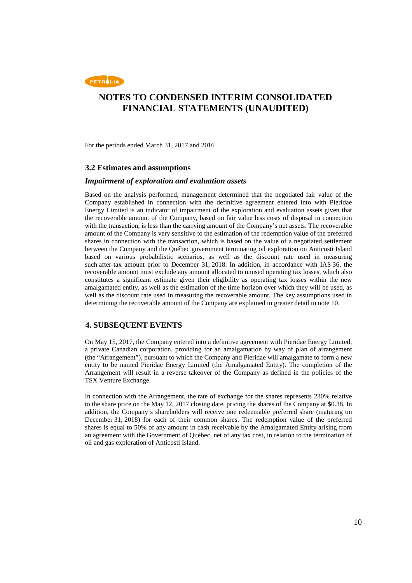

For the periods ended March 31, 2017 and 2016

#### **3.2 Estimates and assumptions**

#### *Impairment of exploration and evaluation assets*

Based on the analysis performed, management determined that the negotiated fair value of the Company established in connection with the definitive agreement entered into with Pieridae Energy Limited is an indicator of impairment of the exploration and evaluation assets given that the recoverable amount of the Company, based on fair value less costs of disposal in connection with the transaction, is less than the carrying amount of the Company's net assets. The recoverable amount of the Company is very sensitive to the estimation of the redemption value of the preferred shares in connection with the transaction, which is based on the value of a negotiated settlement between the Company and the Québec government terminating oil exploration on Anticosti Island based on various probabilistic scenarios, as well as the discount rate used in measuring such after-tax amount prior to December 31, 2018. In addition, in accordance with IAS 36, the recoverable amount must exclude any amount allocated to unused operating tax losses, which also constitutes a significant estimate given their eligibility as operating tax losses within the new amalgamated entity, as well as the estimation of the time horizon over which they will be used, as well as the discount rate used in measuring the recoverable amount. The key assumptions used in determining the recoverable amount of the Company are explained in greater detail in note 10.

### **4. SUBSEQUENT EVENTS**

On May 15, 2017, the Company entered into a definitive agreement with Pieridae Energy Limited, a private Canadian corporation, providing for an amalgamation by way of plan of arrangement (the "Arrangement"), pursuant to which the Company and Pieridae will amalgamate to form a new entity to be named Pieridae Energy Limited (the Amalgamated Entity). The completion of the Arrangement will result in a reverse takeover of the Company as defined in the policies of the TSX Venture Exchange.

In connection with the Arrangement, the rate of exchange for the shares represents 230% relative to the share price on the May 12, 2017 closing date, pricing the shares of the Company at \$0.38. In addition, the Company's shareholders will receive one redeemable preferred share (maturing on December 31, 2018) for each of their common shares. The redemption value of the preferred shares is equal to 50% of any amount in cash receivable by the Amalgamated Entity arising from an agreement with the Government of Québec, net of any tax cost, in relation to the termination of oil and gas exploration of Anticosti Island.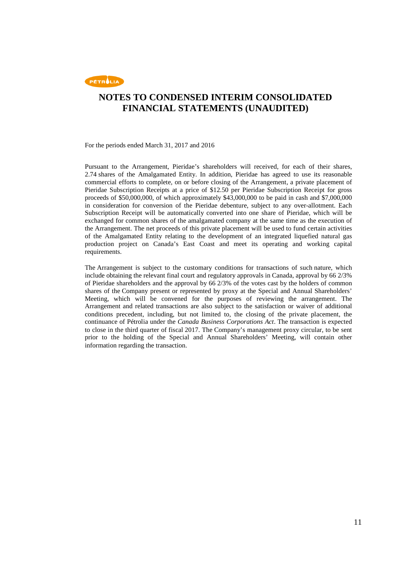

For the periods ended March 31, 2017 and 2016

Pursuant to the Arrangement, Pieridae's shareholders will received, for each of their shares, 2.74 shares of the Amalgamated Entity. In addition, Pieridae has agreed to use its reasonable commercial efforts to complete, on or before closing of the Arrangement, a private placement of Pieridae Subscription Receipts at a price of \$12.50 per Pieridae Subscription Receipt for gross proceeds of \$50,000,000, of which approximately \$43,000,000 to be paid in cash and \$7,000,000 in consideration for conversion of the Pieridae debenture, subject to any over-allotment. Each Subscription Receipt will be automatically converted into one share of Pieridae, which will be exchanged for common shares of the amalgamated company at the same time as the execution of the Arrangement. The net proceeds of this private placement will be used to fund certain activities of the Amalgamated Entity relating to the development of an integrated liquefied natural gas production project on Canada's East Coast and meet its operating and working capital requirements.

The Arrangement is subject to the customary conditions for transactions of such nature, which include obtaining the relevant final court and regulatory approvals in Canada, approval by 66 2/3% of Pieridae shareholders and the approval by 66 2/3% of the votes cast by the holders of common shares of the Company present or represented by proxy at the Special and Annual Shareholders' Meeting, which will be convened for the purposes of reviewing the arrangement. The Arrangement and related transactions are also subject to the satisfaction or waiver of additional conditions precedent, including, but not limited to, the closing of the private placement, the continuance of Pétrolia under the *Canada Business Corporations Act*. The transaction is expected to close in the third quarter of fiscal 2017. The Company's management proxy circular, to be sent prior to the holding of the Special and Annual Shareholders' Meeting, will contain other information regarding the transaction.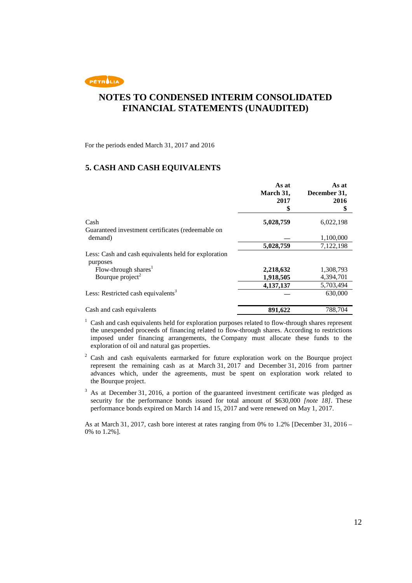

For the periods ended March 31, 2017 and 2016

### **5. CASH AND CASH EQUIVALENTS**

|                                                                  | As at<br>March 31,<br>2017<br>\$ | As at<br>December 31,<br>2016<br>\$ |
|------------------------------------------------------------------|----------------------------------|-------------------------------------|
| Cash                                                             | 5,028,759                        | 6,022,198                           |
| Guaranteed investment certificates (redeemable on                |                                  |                                     |
| demand)                                                          |                                  | 1,100,000                           |
|                                                                  | 5,028,759                        | 7,122,198                           |
| Less: Cash and cash equivalents held for exploration<br>purposes |                                  |                                     |
| Flow-through shares <sup>1</sup>                                 | 2,218,632                        | 1,308,793                           |
| Bourque project <sup>2</sup>                                     | 1,918,505                        | 4,394,701                           |
|                                                                  | 4,137,137                        | 5,703,494                           |
| Less: Restricted cash equivalents <sup>3</sup>                   |                                  | 630,000                             |
| Cash and cash equivalents                                        | 891,622                          | 788,704                             |

<sup>1</sup> Cash and cash equivalents held for exploration purposes related to flow-through shares represent the unexpended proceeds of financing related to flow-through shares. According to restrictions imposed under financing arrangements, the Company must allocate these funds to the exploration of oil and natural gas properties.

 $2^2$  Cash and cash equivalents earmarked for future exploration work on the Bourque project represent the remaining cash as at March 31, 2017 and December 31, 2016 from partner advances which, under the agreements, must be spent on exploration work related to the Bourque project.

<sup>3</sup> As at December 31, 2016, a portion of the guaranteed investment certificate was pledged as security for the performance bonds issued for total amount of \$630,000 *[note 18]*. These performance bonds expired on March 14 and 15, 2017 and were renewed on May 1, 2017.

As at March 31, 2017, cash bore interest at rates ranging from 0% to 1.2% [December 31, 2016 – 0% to 1.2%].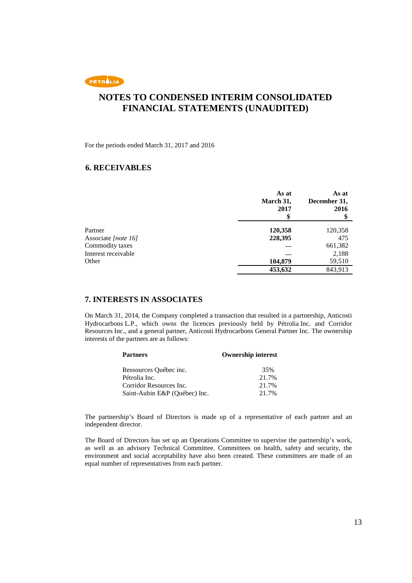

For the periods ended March 31, 2017 and 2016

### **6. RECEIVABLES**

|                     | As at<br>March 31,<br>2017 | As at<br>December 31,<br>2016 |
|---------------------|----------------------------|-------------------------------|
|                     |                            |                               |
| Partner             | 120,358                    | 120,358                       |
| Associate [note 16] | 228,395                    | 475                           |
| Commodity taxes     |                            | 661,382                       |
| Interest receivable |                            | 2,188                         |
| Other               | 104,879                    | 59,510                        |
|                     | 453,632                    | 843,913                       |

### **7. INTERESTS IN ASSOCIATES**

On March 31, 2014, the Company completed a transaction that resulted in a partnership, Anticosti Hydrocarbons L.P., which owns the licences previously held by Pétrolia Inc. and Corridor Resources Inc., and a general partner, Anticosti Hydrocarbons General Partner Inc. The ownership interests of the partners are as follows:

| <b>Partners</b>               | <b>Ownership interest</b> |  |
|-------------------------------|---------------------------|--|
| Ressources Québec inc.        | 35%                       |  |
| Pétrolia Inc.                 | 21.7%                     |  |
| Corridor Resources Inc.       | 21.7%                     |  |
| Saint-Aubin E&P (Québec) Inc. | 21.7%                     |  |

The partnership's Board of Directors is made up of a representative of each partner and an independent director.

The Board of Directors has set up an Operations Committee to supervise the partnership's work, as well as an advisory Technical Committee. Committees on health, safety and security, the environment and social acceptability have also been created. These committees are made of an equal number of representatives from each partner.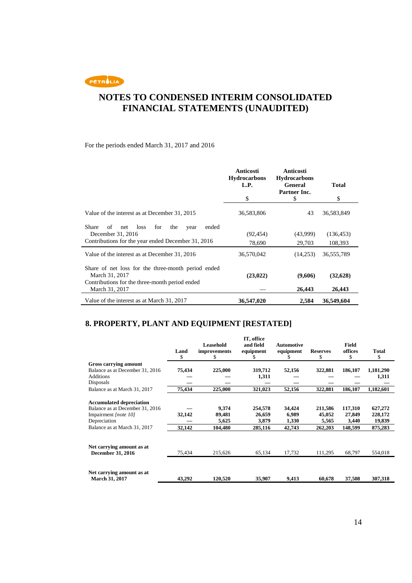PETROLIA

## **NOTES TO CONDENSED INTERIM CONSOLIDATED FINANCIAL STATEMENTS (UNAUDITED)**

### For the periods ended March 31, 2017 and 2016

|                                                                                                                        | <b>Anticosti</b><br><b>Hydrocarbons</b> | Anticosti<br><b>Hydrocarbons</b> |              |
|------------------------------------------------------------------------------------------------------------------------|-----------------------------------------|----------------------------------|--------------|
|                                                                                                                        | L.P.                                    | <b>General</b><br>Partner Inc.   | <b>Total</b> |
|                                                                                                                        | \$                                      | \$                               | \$           |
| Value of the interest as at December 31, 2015                                                                          | 36,583,806                              | 43                               | 36,583,849   |
| Share<br>loss<br>for<br>the<br>ended<br>of<br>net<br>year<br>December 31, 2016                                         | (92, 454)                               | (43,999)                         | (136, 453)   |
| Contributions for the year ended December 31, 2016                                                                     | 78,690                                  | 29,703                           | 108,393      |
| Value of the interest as at December 31, 2016                                                                          | 36,570,042                              | (14,253)                         | 36,555,789   |
| Share of net loss for the three-month period ended<br>March 31, 2017<br>Contributions for the three-month period ended | (23, 022)                               | (9,606)                          | (32,628)     |
| March 31, 2017                                                                                                         |                                         | 26,443                           | 26,443       |
| Value of the interest as at March 31, 2017                                                                             | 36,547,020                              | 2,584                            | 36,549,604   |

## **8. PROPERTY, PLANT AND EQUIPMENT [RESTATED]**

|                                 |            | Leasehold                | IT, office<br>and field | Automotive |                       | Field         |             |
|---------------------------------|------------|--------------------------|-------------------------|------------|-----------------------|---------------|-------------|
|                                 | Land<br>\$ | <i>improvements</i><br>S | equipment               | equipment  | <b>Reserves</b><br>\$ | offices<br>\$ | Total<br>\$ |
| Gross carrying amount           |            |                          |                         |            |                       |               |             |
| Balance as at December 31, 2016 | 75,434     | 225,000                  | 319,712                 | 52,156     | 322,881               | 186,107       | 1,181,290   |
| <b>Additions</b>                |            |                          | 1,311                   |            |                       |               | 1,311       |
| Disposals                       |            |                          |                         |            |                       |               |             |
| Balance as at March 31, 2017    | 75,434     | 225,000                  | 321,023                 | 52,156     | 322,881               | 186,107       | 1,182,601   |
| <b>Accumulated depreciation</b> |            |                          |                         |            |                       |               |             |
| Balance as at December 31, 2016 |            | 9,374                    | 254,578                 | 34,424     | 211,586               | 117,310       | 627,272     |
| Impairment [note 10]            | 32,142     | 89,481                   | 26,659                  | 6,989      | 45,052                | 27,849        | 228,172     |
| Depreciation                    |            | 5,625                    | 3,879                   | 1,330      | 5,565                 | 3,440         | 19,839      |
| Balance as at March 31, 2017    | 32,142     | 104,480                  | 285,116                 | 42,743     | 262,203               | 148,599       | 875,283     |
|                                 |            |                          |                         |            |                       |               |             |
| Net carrying amount as at       |            |                          |                         |            |                       |               |             |
| <b>December 31, 2016</b>        | 75,434     | 215,626                  | 65,134                  | 17,732     | 111,295               | 68,797        | 554,018     |
|                                 |            |                          |                         |            |                       |               |             |
| Net carrying amount as at       |            |                          |                         |            |                       |               |             |
| <b>March 31, 2017</b>           | 43,292     | 120,520                  | 35,907                  | 9,413      | 60,678                | 37,508        | 307,318     |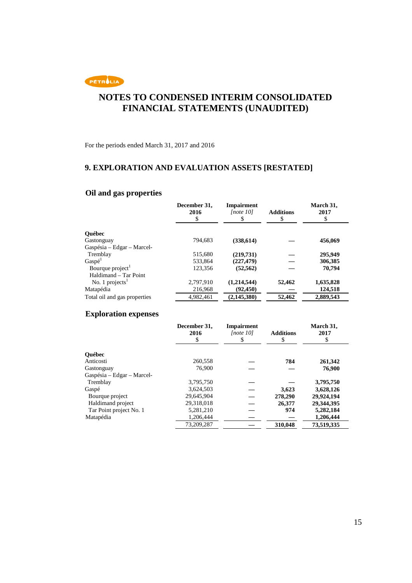

For the periods ended March 31, 2017 and 2016

## **9. EXPLORATION AND EVALUATION ASSETS [RESTATED]**

### **Oil and gas properties**

|                              | December 31,<br>2016<br>\$ | <b>Impairment</b><br>Inote 101 | <b>Additions</b><br>\$ | March 31,<br>2017<br>\$ |
|------------------------------|----------------------------|--------------------------------|------------------------|-------------------------|
| <b>Ouébec</b>                |                            |                                |                        |                         |
| Gastonguay                   | 794.683                    | (338, 614)                     |                        | 456,069                 |
| Gaspésia - Edgar - Marcel-   |                            |                                |                        |                         |
| Tremblay                     | 515,680                    | (219,731)                      |                        | 295,949                 |
| Gasp <sup>1</sup>            | 533.864                    | (227, 479)                     |                        | 306,385                 |
| Bourque project <sup>1</sup> | 123.356                    | (52.562)                       |                        | 70.794                  |
| Haldimand – Tar Point        |                            |                                |                        |                         |
| No. 1 projects $1$           | 2,797,910                  | (1,214,544)                    | 52,462                 | 1,635,828               |
| Matapédia                    | 216,968                    | (92.450)                       |                        | 124,518                 |
| Total oil and gas properties | 4.982.461                  | (2, 145, 380)                  | 52,462                 | 2,889,543               |

### **Exploration expenses**

|                            | December 31,<br>2016<br>\$ | <b>Impairment</b><br>[note 10]<br>\$ | <b>Additions</b><br>\$ | March 31,<br>2017<br>\$ |
|----------------------------|----------------------------|--------------------------------------|------------------------|-------------------------|
| <b>Ouébec</b>              |                            |                                      |                        |                         |
| Anticosti                  | 260,558                    |                                      | 784                    | 261,342                 |
| Gastonguay                 | 76,900                     |                                      |                        | 76,900                  |
| Gaspésia – Edgar – Marcel- |                            |                                      |                        |                         |
| Tremblay                   | 3,795,750                  |                                      |                        | 3,795,750               |
| Gaspé                      | 3.624.503                  |                                      | 3,623                  | 3,628,126               |
| Bourque project            | 29.645.904                 |                                      | 278,290                | 29,924,194              |
| Haldimand project          | 29.318.018                 |                                      | 26,377                 | 29.344.395              |
| Tar Point project No. 1    | 5,281,210                  |                                      | 974                    | 5,282,184               |
| Matapédia                  | 1,206,444                  |                                      |                        | 1,206,444               |
|                            | 73.209.287                 |                                      | 310,048                | 73,519,335              |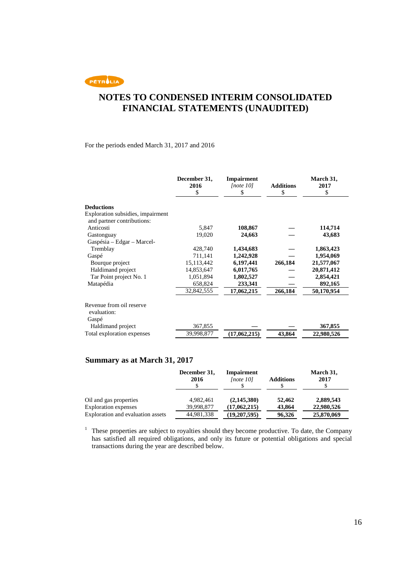PETROLIA

## **NOTES TO CONDENSED INTERIM CONSOLIDATED FINANCIAL STATEMENTS (UNAUDITED)**

### For the periods ended March 31, 2017 and 2016

|                                                                 | December 31,<br>2016<br>\$ | <b>Impairment</b><br>[note 10]<br>\$ | <b>Additions</b><br>\$ | March 31,<br>2017<br>\$ |
|-----------------------------------------------------------------|----------------------------|--------------------------------------|------------------------|-------------------------|
| <b>Deductions</b>                                               |                            |                                      |                        |                         |
| Exploration subsidies, impairment<br>and partner contributions: |                            |                                      |                        |                         |
| Anticosti                                                       | 5,847                      | 108,867                              |                        | 114,714                 |
| Gastonguay                                                      | 19,020                     | 24,663                               |                        | 43,683                  |
| Gaspésia – Edgar – Marcel-                                      |                            |                                      |                        |                         |
| Tremblay                                                        | 428,740                    | 1,434,683                            |                        | 1,863,423               |
| Gaspé                                                           | 711,141                    | 1,242,928                            |                        | 1,954,069               |
| Bourque project                                                 | 15,113,442                 | 6,197,441                            | 266,184                | 21,577,067              |
| Haldimand project                                               | 14,853,647                 | 6,017,765                            |                        | 20,871,412              |
| Tar Point project No. 1                                         | 1,051,894                  | 1,802,527                            |                        | 2,854,421               |
| Matapédia                                                       | 658,824                    | 233,341                              |                        | 892,165                 |
|                                                                 | 32,842,555                 | 17,062,215                           | 266,184                | 50,170,954              |
| Revenue from oil reserve<br>evaluation:<br>Gaspé                |                            |                                      |                        |                         |
| Haldimand project                                               | 367,855                    |                                      |                        | 367,855                 |
| Total exploration expenses                                      | 39,998,877                 | (17,062,215)                         | 43,864                 | 22,980,526              |

### **Summary as at March 31, 2017**

|                                   | December 31,<br>2016 | <b>Impairment</b><br>[note 10] | <b>Additions</b> | March 31,<br>2017 |
|-----------------------------------|----------------------|--------------------------------|------------------|-------------------|
| Oil and gas properties            | 4.982.461            | (2,145,380)                    | 52,462           | 2,889,543         |
| <b>Exploration</b> expenses       | 39,998,877           | (17,062,215)                   | 43,864           | 22,980,526        |
| Exploration and evaluation assets | 44,981,338           | (19,207,595)                   | 96,326           | 25,870,069        |

<sup>1</sup> These properties are subject to royalties should they become productive. To date, the Company has satisfied all required obligations, and only its future or potential obligations and special transactions during the year are described below.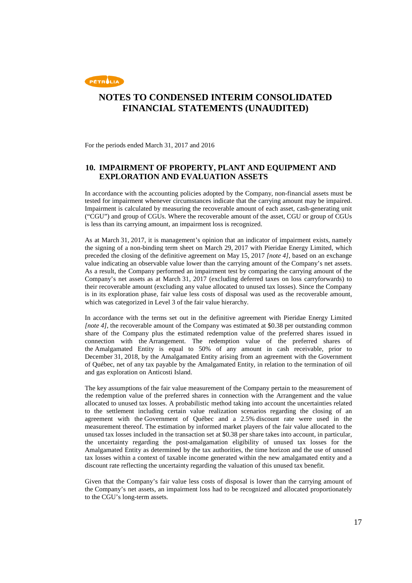

For the periods ended March 31, 2017 and 2016

### **10. IMPAIRMENT OF PROPERTY, PLANT AND EQUIPMENT AND EXPLORATION AND EVALUATION ASSETS**

In accordance with the accounting policies adopted by the Company, non-financial assets must be tested for impairment whenever circumstances indicate that the carrying amount may be impaired. Impairment is calculated by measuring the recoverable amount of each asset, cash-generating unit ("CGU") and group of CGUs. Where the recoverable amount of the asset, CGU or group of CGUs is less than its carrying amount, an impairment loss is recognized.

As at March 31, 2017, it is management's opinion that an indicator of impairment exists, namely the signing of a non-binding term sheet on March 29, 2017 with Pieridae Energy Limited, which preceded the closing of the definitive agreement on May 15, 2017 *[note 4]*, based on an exchange value indicating an observable value lower than the carrying amount of the Company's net assets. As a result, the Company performed an impairment test by comparing the carrying amount of the Company's net assets as at March 31, 2017 (excluding deferred taxes on loss carryforwards) to their recoverable amount (excluding any value allocated to unused tax losses). Since the Company is in its exploration phase, fair value less costs of disposal was used as the recoverable amount, which was categorized in Level 3 of the fair value hierarchy.

In accordance with the terms set out in the definitive agreement with Pieridae Energy Limited *[note 4]*, the recoverable amount of the Company was estimated at \$0.38 per outstanding common share of the Company plus the estimated redemption value of the preferred shares issued in connection with the Arrangement. The redemption value of the preferred shares of the Amalgamated Entity is equal to 50% of any amount in cash receivable, prior to December 31, 2018, by the Amalgamated Entity arising from an agreement with the Government of Québec, net of any tax payable by the Amalgamated Entity, in relation to the termination of oil and gas exploration on Anticosti Island.

The key assumptions of the fair value measurement of the Company pertain to the measurement of the redemption value of the preferred shares in connection with the Arrangement and the value allocated to unused tax losses. A probabilistic method taking into account the uncertainties related to the settlement including certain value realization scenarios regarding the closing of an agreement with the Government of Québec and a 2.5% discount rate were used in the measurement thereof. The estimation by informed market players of the fair value allocated to the unused tax losses included in the transaction set at \$0.38 per share takes into account, in particular, the uncertainty regarding the post-amalgamation eligibility of unused tax losses for the Amalgamated Entity as determined by the tax authorities, the time horizon and the use of unused tax losses within a context of taxable income generated within the new amalgamated entity and a discount rate reflecting the uncertainty regarding the valuation of this unused tax benefit.

Given that the Company's fair value less costs of disposal is lower than the carrying amount of the Company's net assets, an impairment loss had to be recognized and allocated proportionately to the CGU's long-term assets.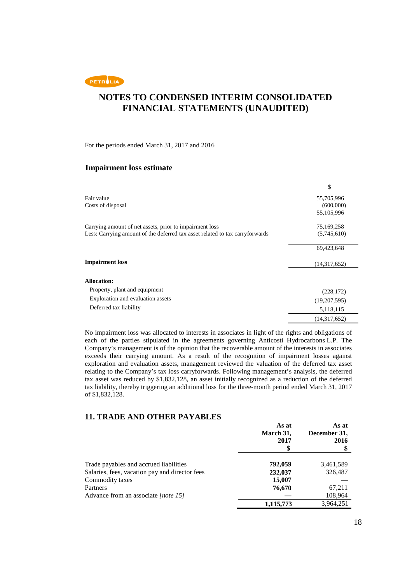

For the periods ended March 31, 2017 and 2016

### **Impairment loss estimate**

|                                                                              | \$           |
|------------------------------------------------------------------------------|--------------|
| Fair value                                                                   | 55,705,996   |
| Costs of disposal                                                            | (600,000)    |
|                                                                              | 55,105,996   |
| Carrying amount of net assets, prior to impairment loss                      | 75,169,258   |
| Less: Carrying amount of the deferred tax asset related to tax carryforwards | (5,745,610)  |
|                                                                              | 69,423,648   |
| <b>Impairment loss</b>                                                       | (14,317,652) |
| <b>Allocation:</b>                                                           |              |
| Property, plant and equipment                                                | (228, 172)   |
| Exploration and evaluation assets                                            | (19,207,595) |
| Deferred tax liability                                                       | 5,118,115    |
|                                                                              | (14,317,652) |

No impairment loss was allocated to interests in associates in light of the rights and obligations of each of the parties stipulated in the agreements governing Anticosti Hydrocarbons L.P. The Company's management is of the opinion that the recoverable amount of the interests in associates exceeds their carrying amount. As a result of the recognition of impairment losses against exploration and evaluation assets, management reviewed the valuation of the deferred tax asset relating to the Company's tax loss carryforwards. Following management's analysis, the deferred tax asset was reduced by \$1,832,128, an asset initially recognized as a reduction of the deferred tax liability, thereby triggering an additional loss for the three-month period ended March 31, 2017 of \$1,832,128.

### **11. TRADE AND OTHER PAYABLES**

|                                                | As at<br>March 31,<br>2017 | As at<br>December 31,<br>2016 |
|------------------------------------------------|----------------------------|-------------------------------|
|                                                |                            |                               |
| Trade payables and accrued liabilities         | 792,059                    | 3,461,589                     |
| Salaries, fees, vacation pay and director fees | 232,037                    | 326,487                       |
| Commodity taxes                                | 15,007                     |                               |
| Partners                                       | 76,670                     | 67,211                        |
| Advance from an associate [note 15]            |                            | 108,964                       |
|                                                | 1,115,773                  | 3,964,251                     |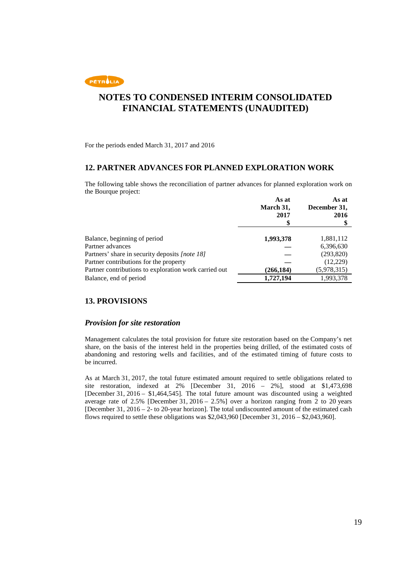

For the periods ended March 31, 2017 and 2016

### **12. PARTNER ADVANCES FOR PLANNED EXPLORATION WORK**

The following table shows the reconciliation of partner advances for planned exploration work on the Bourque project:

|                                                       | As at<br>March 31,<br>2017 | As at<br>December 31,<br>2016 |
|-------------------------------------------------------|----------------------------|-------------------------------|
|                                                       |                            |                               |
|                                                       |                            |                               |
| Balance, beginning of period                          | 1,993,378                  | 1,881,112                     |
| Partner advances                                      |                            | 6,396,630                     |
| Partners' share in security deposits [note 18]        |                            | (293,820)                     |
| Partner contributions for the property                |                            | (12,229)                      |
| Partner contributions to exploration work carried out | (266, 184)                 | (5,978,315)                   |
| Balance, end of period                                | 1,727,194                  | 1,993,378                     |

### **13. PROVISIONS**

#### *Provision for site restoration*

Management calculates the total provision for future site restoration based on the Company's net share, on the basis of the interest held in the properties being drilled, of the estimated costs of abandoning and restoring wells and facilities, and of the estimated timing of future costs to be incurred.

As at March 31, 2017, the total future estimated amount required to settle obligations related to site restoration, indexed at 2% [December 31, 2016 – 2%], stood at \$1,473,698 [December 31, 2016 – \$1,464,545]. The total future amount was discounted using a weighted average rate of 2.5% [December 31, 2016 – 2.5%] over a horizon ranging from  $\overline{2}$  to 20 years [December 31, 2016 – 2- to 20-year horizon]. The total undiscounted amount of the estimated cash flows required to settle these obligations was \$2,043,960 [December 31, 2016 – \$2,043,960].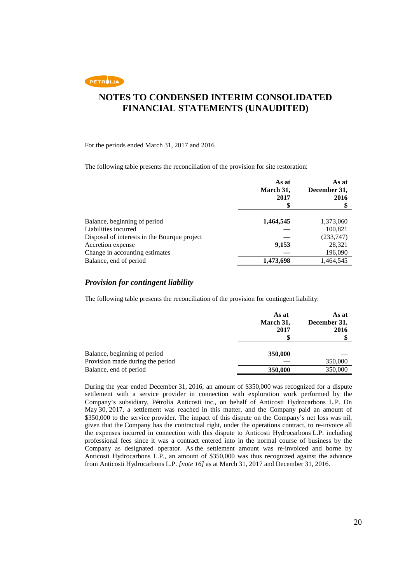

For the periods ended March 31, 2017 and 2016

The following table presents the reconciliation of the provision for site restoration:

|                                              | As at<br>March 31,<br>2017 | As at<br>December 31,<br>2016 |
|----------------------------------------------|----------------------------|-------------------------------|
| Balance, beginning of period                 | 1,464,545                  | 1,373,060                     |
| Liabilities incurred                         |                            | 100,821                       |
| Disposal of interests in the Bourque project |                            | (233,747)                     |
| Accretion expense                            | 9,153                      | 28,321                        |
| Change in accounting estimates               |                            | 196,090                       |
| Balance, end of period                       | 1,473,698                  | 1,464,545                     |

#### *Provision for contingent liability*

The following table presents the reconciliation of the provision for contingent liability:

|                                                                  | As at<br>March 31,<br>2017 | As at<br>December 31,<br>2016 |
|------------------------------------------------------------------|----------------------------|-------------------------------|
| Balance, beginning of period<br>Provision made during the period | 350,000                    | 350,000                       |
| Balance, end of period                                           | 350,000                    | 350,000                       |

During the year ended December 31, 2016, an amount of \$350,000 was recognized for a dispute settlement with a service provider in connection with exploration work performed by the Company's subsidiary, Pétrolia Anticosti inc., on behalf of Anticosti Hydrocarbons L.P. On May 30, 2017, a settlement was reached in this matter, and the Company paid an amount of \$350,000 to the service provider. The impact of this dispute on the Company's net loss was nil, given that the Company has the contractual right, under the operations contract, to re-invoice all the expenses incurred in connection with this dispute to Anticosti Hydrocarbons L.P. including professional fees since it was a contract entered into in the normal course of business by the Company as designated operator. As the settlement amount was re-invoiced and borne by Anticosti Hydrocarbons L.P., an amount of \$350,000 was thus recognized against the advance from Anticosti Hydrocarbons L.P. *[note 16]* as at March 31, 2017 and December 31, 2016.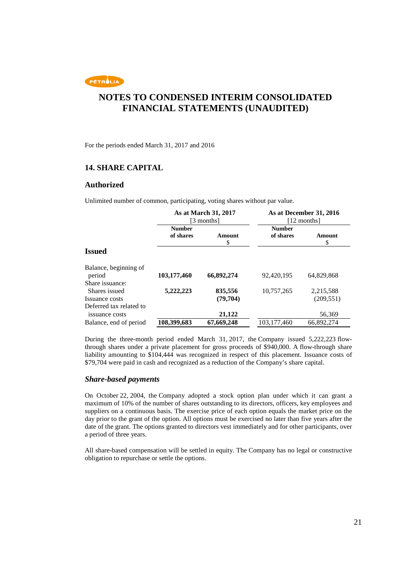

For the periods ended March 31, 2017 and 2016

### **14. SHARE CAPITAL**

#### **Authorized**

Unlimited number of common, participating, voting shares without par value.

|                                                            | As at March 31, 2017<br>[3 months] |                     | As at December 31, 2016<br>[12 months] |                         |
|------------------------------------------------------------|------------------------------------|---------------------|----------------------------------------|-------------------------|
|                                                            | <b>Number</b><br>of shares         | Amount<br>\$        | <b>Number</b><br>of shares             | Amount<br>\$            |
| <b>Issued</b>                                              |                                    |                     |                                        |                         |
| Balance, beginning of<br>period                            | 103,177,460                        | 66,892,274          | 92,420,195                             | 64.829.868              |
| Share issuance:                                            |                                    |                     |                                        |                         |
| Shares issued<br>Issuance costs<br>Deferred tax related to | 5,222,223                          | 835,556<br>(79,704) | 10,757,265                             | 2,215,588<br>(209, 551) |
| issuance costs                                             |                                    | 21,122              |                                        | 56,369                  |
| Balance, end of period                                     | 108,399,683                        | 67,669,248          | 103.177.460                            | 66,892,274              |

During the three-month period ended March 31, 2017, the Company issued 5,222,223 flowthrough shares under a private placement for gross proceeds of \$940,000. A flow-through share liability amounting to \$104,444 was recognized in respect of this placement. Issuance costs of \$79,704 were paid in cash and recognized as a reduction of the Company's share capital.

#### *Share-based payments*

On October 22, 2004, the Company adopted a stock option plan under which it can grant a maximum of 10% of the number of shares outstanding to its directors, officers, key employees and suppliers on a continuous basis. The exercise price of each option equals the market price on the day prior to the grant of the option. All options must be exercised no later than five years after the date of the grant. The options granted to directors vest immediately and for other participants, over a period of three years.

All share-based compensation will be settled in equity. The Company has no legal or constructive obligation to repurchase or settle the options.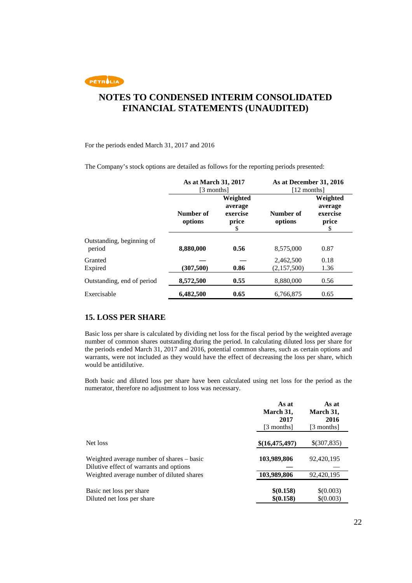

#### For the periods ended March 31, 2017 and 2016

The Company's stock options are detailed as follows for the reporting periods presented:

|                                     | As at March 31, 2017<br>[3 months] |                                               | As at December 31, 2016<br>[12 months] |                                                |
|-------------------------------------|------------------------------------|-----------------------------------------------|----------------------------------------|------------------------------------------------|
|                                     | Number of<br>options               | Weighted<br>average<br>exercise<br>price<br>S | Number of<br>options                   | Weighted<br>average<br>exercise<br>price<br>\$ |
| Outstanding, beginning of<br>period | 8,880,000                          | 0.56                                          | 8.575,000                              | 0.87                                           |
| Granted<br>Expired                  | (307, 500)                         | 0.86                                          | 2,462,500<br>(2,157,500)               | 0.18<br>1.36                                   |
| Outstanding, end of period          | 8,572,500                          | 0.55                                          | 8,880,000                              | 0.56                                           |
| Exercisable                         | 6,482,500                          | 0.65                                          | 6,766,875                              | 0.65                                           |

### **15. LOSS PER SHARE**

Basic loss per share is calculated by dividing net loss for the fiscal period by the weighted average number of common shares outstanding during the period. In calculating diluted loss per share for the periods ended March 31, 2017 and 2016, potential common shares, such as certain options and warrants, were not included as they would have the effect of decreasing the loss per share, which would be antidilutive.

Both basic and diluted loss per share have been calculated using net loss for the period as the numerator, therefore no adjustment to loss was necessary.

|                                                                                      | As at<br>March 31,<br>2017<br>[3 months] | As at<br>March 31,<br>2016<br>[3 months] |
|--------------------------------------------------------------------------------------|------------------------------------------|------------------------------------------|
| Net loss                                                                             | \$(16,475,497)                           | \$(307,835)                              |
| Weighted average number of shares – basic<br>Dilutive effect of warrants and options | 103,989,806                              | 92,420,195                               |
| Weighted average number of diluted shares                                            | 103,989,806                              | 92,420,195                               |
| Basic net loss per share<br>Diluted net loss per share                               | \$(0.158)<br>\$(0.158)                   | \$(0.003)<br>\$(0.003)                   |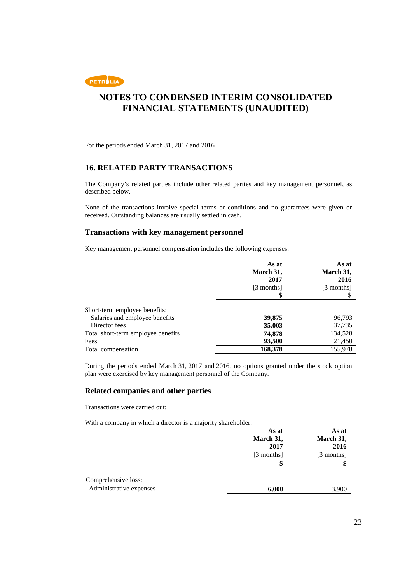

For the periods ended March 31, 2017 and 2016

### **16. RELATED PARTY TRANSACTIONS**

The Company's related parties include other related parties and key management personnel, as described below.

None of the transactions involve special terms or conditions and no guarantees were given or received. Outstanding balances are usually settled in cash.

### **Transactions with key management personnel**

Key management personnel compensation includes the following expenses:

|                                    | As at<br>March 31,<br>2017 | As at<br>March 31,<br>2016 |
|------------------------------------|----------------------------|----------------------------|
|                                    | [3 months]<br>\$           | [3 months]                 |
| Short-term employee benefits:      |                            |                            |
| Salaries and employee benefits     | 39,875                     | 96,793                     |
| Director fees                      | 35,003                     | 37,735                     |
| Total short-term employee benefits | 74,878                     | 134,528                    |
| Fees                               | 93,500                     | 21,450                     |
| Total compensation                 | 168,378                    | 155,978                    |

During the periods ended March 31, 2017 and 2016, no options granted under the stock option plan were exercised by key management personnel of the Company.

### **Related companies and other parties**

Transactions were carried out:

With a company in which a director is a majority shareholder:

|                                                | As at<br>March 31,<br>2017 | As at<br>March 31,<br>2016 |
|------------------------------------------------|----------------------------|----------------------------|
|                                                | [3 months]<br>\$           | [3 months]                 |
| Comprehensive loss:<br>Administrative expenses | 6,000                      | 3,900                      |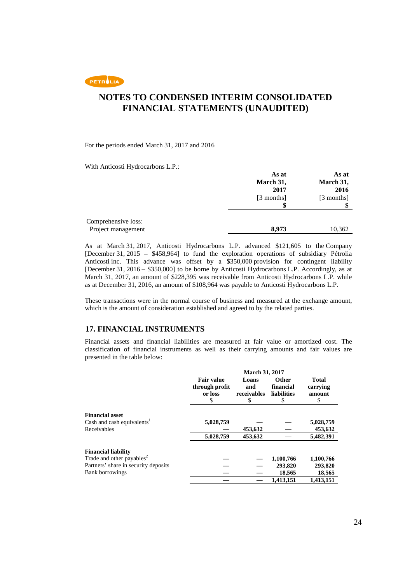PETROLIA

## **NOTES TO CONDENSED INTERIM CONSOLIDATED FINANCIAL STATEMENTS (UNAUDITED)**

For the periods ended March 31, 2017 and 2016

With Anticosti Hydrocarbons L.P.:

|                     | As at      | As at<br>March 31, |
|---------------------|------------|--------------------|
|                     | March 31,  |                    |
|                     | 2017       | 2016               |
|                     | [3 months] | [3 months]         |
|                     |            |                    |
| Comprehensive loss: |            |                    |
| Project management  | 8,973      | 10,362             |

As at March 31, 2017, Anticosti Hydrocarbons L.P. advanced \$121,605 to the Company [December 31, 2015 – \$458,964] to fund the exploration operations of subsidiary Pétrolia Anticosti inc. This advance was offset by a \$350,000 provision for contingent liability [December 31, 2016 – \$350,000] to be borne by Anticosti Hydrocarbons L.P. Accordingly, as at March 31, 2017, an amount of \$228,395 was receivable from Anticosti Hydrocarbons L.P. while as at December 31, 2016, an amount of \$108,964 was payable to Anticosti Hydrocarbons L.P.

These transactions were in the normal course of business and measured at the exchange amount, which is the amount of consideration established and agreed to by the related parties.

### **17. FINANCIAL INSTRUMENTS**

Financial assets and financial liabilities are measured at fair value or amortized cost. The classification of financial instruments as well as their carrying amounts and fair values are presented in the table below:

|                                        | March 31, 2017    |             |              |              |
|----------------------------------------|-------------------|-------------|--------------|--------------|
|                                        | <b>Fair value</b> | Loans       | <b>Other</b> | <b>Total</b> |
|                                        | through profit    | and         | financial    | carrying     |
|                                        | or loss           | receivables | liabilities  | amount       |
|                                        | S                 | S           | \$           | S            |
| <b>Financial asset</b>                 |                   |             |              |              |
| Cash and cash equivalents <sup>1</sup> | 5,028,759         |             |              | 5,028,759    |
| Receivables                            |                   | 453,632     |              | 453,632      |
|                                        | 5,028,759         | 453,632     |              | 5,482,391    |
| <b>Financial liability</b>             |                   |             |              |              |
| Trade and other payables <sup>2</sup>  |                   |             | 1,100,766    | 1,100,766    |
| Partners' share in security deposits   |                   |             | 293,820      | 293,820      |
| <b>Bank borrowings</b>                 |                   |             | 18,565       | 18,565       |
|                                        |                   |             | 1,413,151    | 1,413,151    |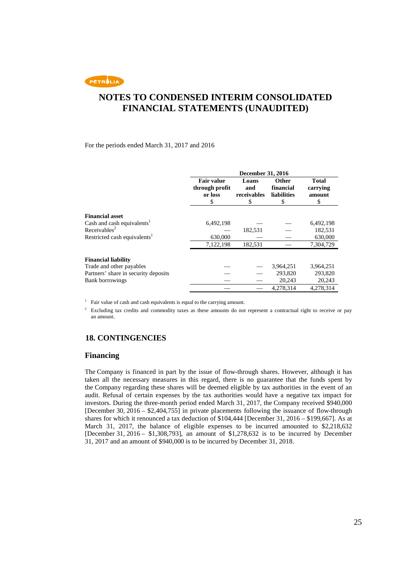PETROLIA

## **NOTES TO CONDENSED INTERIM CONSOLIDATED FINANCIAL STATEMENTS (UNAUDITED)**

For the periods ended March 31, 2017 and 2016

|                                          | <b>December 31, 2016</b>                            |                                  |                                         |                                         |
|------------------------------------------|-----------------------------------------------------|----------------------------------|-----------------------------------------|-----------------------------------------|
|                                          | <b>Fair value</b><br>through profit<br>or loss<br>S | Loans<br>and<br>receivables<br>S | Other<br>financial<br>liabilities<br>\$ | <b>Total</b><br>carrying<br>amount<br>S |
| <b>Financial asset</b>                   |                                                     |                                  |                                         |                                         |
| Cash and cash equivalents <sup>1</sup>   | 6,492,198                                           |                                  |                                         | 6,492,198                               |
| Receivables <sup>2</sup>                 |                                                     | 182,531                          |                                         | 182,531                                 |
| Restricted cash equivalents <sup>1</sup> | 630,000                                             |                                  |                                         | 630,000                                 |
|                                          | 7,122,198                                           | 182,531                          |                                         | 7,304,729                               |
| <b>Financial liability</b>               |                                                     |                                  |                                         |                                         |
| Trade and other payables                 |                                                     |                                  | 3,964,251                               | 3,964,251                               |
| Partners' share in security deposits     |                                                     |                                  | 293,820                                 | 293,820                                 |
| <b>Bank borrowings</b>                   |                                                     |                                  | 20,243                                  | 20,243                                  |
|                                          |                                                     |                                  | 4.278.314                               | 4.278.314                               |

<sup>1</sup> Fair value of cash and cash equivalents is equal to the carrying amount.

<sup>2</sup> Excluding tax credits and commodity taxes as these amounts do not represent a contractual right to receive or pay an amount.

### **18. CONTINGENCIES**

#### **Financing**

The Company is financed in part by the issue of flow-through shares. However, although it has taken all the necessary measures in this regard, there is no guarantee that the funds spent by the Company regarding these shares will be deemed eligible by tax authorities in the event of an audit. Refusal of certain expenses by the tax authorities would have a negative tax impact for investors. During the three-month period ended March 31, 2017, the Company received \$940,000 [December 30, 2016 – \$2,404,755] in private placements following the issuance of flow-through shares for which it renounced a tax deduction of \$104,444 [December 31, 2016 – \$199,667]. As at March 31, 2017, the balance of eligible expenses to be incurred amounted to \$2,218,632 [December 31, 2016 – \$1,308,793], an amount of \$1,278,632 is to be incurred by December 31, 2017 and an amount of \$940,000 is to be incurred by December 31, 2018.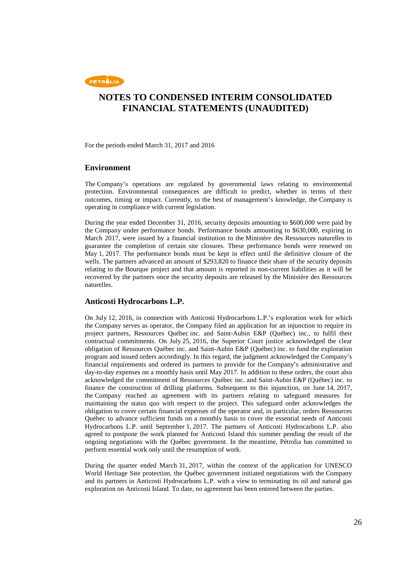

For the periods ended March 31, 2017 and 2016

### **Environment**

The Company's operations are regulated by governmental laws relating to environmental protection. Environmental consequences are difficult to predict, whether in terms of their outcomes, timing or impact. Currently, to the best of management's knowledge, the Company is operating in compliance with current legislation.

During the year ended December 31, 2016, security deposits amounting to \$600,000 were paid by the Company under performance bonds. Performance bonds amounting to \$630,000, expiring in March 2017, were issued by a financial institution to the Ministère des Ressources naturelles to guarantee the completion of certain site closures. These performance bonds were renewed on May 1, 2017. The performance bonds must be kept in effect until the definitive closure of the wells. The partners advanced an amount of \$293,820 to finance their share of the security deposits relating to the Bourque project and that amount is reported in non-current liabilities as it will be recovered by the partners once the security deposits are released by the Ministère des Ressources naturelles.

### **Anticosti Hydrocarbons L.P.**

On July 12, 2016, in connection with Anticosti Hydrocarbons L.P.'s exploration work for which the Company serves as operator, the Company filed an application for an injunction to require its project partners, Ressources Québec inc. and Saint-Aubin E&P (Québec) inc., to fulfil their contractual commitments. On July 25, 2016, the Superior Court justice acknowledged the clear obligation of Ressources Québec inc. and Saint-Aubin E&P (Québec) inc. to fund the exploration program and issued orders accordingly. In this regard, the judgment acknowledged the Company's financial requirements and ordered its partners to provide for the Company's administrative and day-to-day expenses on a monthly basis until May 2017. In addition to these orders, the court also acknowledged the commitment of Ressources Québec inc. and Saint-Aubin E&P (Québec) inc. to finance the construction of drilling platforms. Subsequent to this injunction, on June 14, 2017, the Company reached an agreement with its partners relating to safeguard measures for maintaining the status quo with respect to the project. This safeguard order acknowledges the obligation to cover certain financial expenses of the operator and, in particular, orders Ressources Québec to advance sufficient funds on a monthly basis to cover the essential needs of Anticosti Hydrocarbons L.P. until September 1, 2017. The partners of Anticosti Hydrocarbons L.P. also agreed to postpone the work planned for Anticosti Island this summer pending the result of the ongoing negotiations with the Québec government. In the meantime, Pétrolia has committed to perform essential work only until the resumption of work.

During the quarter ended March 31, 2017, within the context of the application for UNESCO World Heritage Site protection, the Québec government initiated negotiations with the Company and its partners in Anticosti Hydrocarbons L.P. with a view to terminating its oil and natural gas exploration on Anticosti Island. To date, no agreement has been entered between the parties.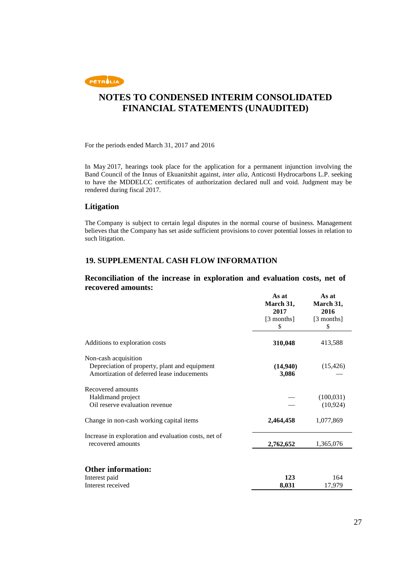

For the periods ended March 31, 2017 and 2016

In May 2017, hearings took place for the application for a permanent injunction involving the Band Council of the Innus of Ekuanitshit against, *inter alia*, Anticosti Hydrocarbons L.P. seeking to have the MDDELCC certificates of authorization declared null and void. Judgment may be rendered during fiscal 2017.

### **Litigation**

The Company is subject to certain legal disputes in the normal course of business. Management believes that the Company has set aside sufficient provisions to cover potential losses in relation to such litigation.

### **19. SUPPLEMENTAL CASH FLOW INFORMATION**

### **Reconciliation of the increase in exploration and evaluation costs, net of recovered amounts:**

|                                                                                                                     | As at<br>March 31,<br>2017<br>[3 months]<br>S | As at<br>March 31,<br>2016<br>[3 months]<br>\$ |
|---------------------------------------------------------------------------------------------------------------------|-----------------------------------------------|------------------------------------------------|
| Additions to exploration costs                                                                                      | 310,048                                       | 413,588                                        |
| Non-cash acquisition<br>Depreciation of property, plant and equipment<br>Amortization of deferred lease inducements | (14,940)<br>3,086                             | (15, 426)                                      |
| Recovered amounts<br>Haldimand project<br>Oil reserve evaluation revenue                                            |                                               | (100, 031)<br>(10, 924)                        |
| Change in non-cash working capital items                                                                            | 2,464,458                                     | 1,077,869                                      |
| Increase in exploration and evaluation costs, net of<br>recovered amounts                                           | 2,762,652                                     | 1,365,076                                      |
| <b>Other information:</b><br>Interest paid<br>Interest received                                                     | 123<br>8,031                                  | 164<br>17,979                                  |